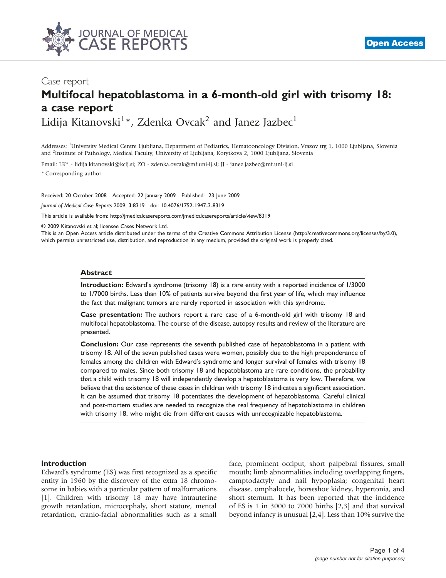

# Case report Multifocal hepatoblastoma in a 6-month-old girl with trisomy 18: a case report

Lidija Kitanovski $^{1*}$ , Zdenka Ovcak<sup>2</sup> and Janez Jazbec<sup>1</sup>

Addresses: <sup>1</sup>University Medical Centre Ljubljana, Department of Pediatrics, Hematooncology Division, Vrazov trg 1, 1000 Ljubljana, Slovenia and <sup>2</sup>Institute of Pathology, Medical Faculty, University of Ljubljana, Korytkova 2, 1000 Ljubljana, Slovenia

Email: LK\* - lidija.kitanovski@kclj.si; ZO - zdenka.ovcak@mf.uni-lj.si; JJ - janez.jazbec@mf.uni-lj.si

\* Corresponding author

Received: 20 October 2008 Accepted: 22 January 2009 Published: 23 June 2009 Journal of Medical Case Reports 2009, 3:8319 doi: 10.4076/1752-1947-3-8319

This article is available from:<http://jmedicalcasereports.com/jmedicalcasereports/article/view/8319>

© 2009 Kitanovski et al; licensee Cases Network Ltd.

This is an Open Access article distributed under the terms of the Creative Commons Attribution License [\(http://creativecommons.org/licenses/by/3.0\)](http://creativecommons.org/licenses/by/3.0), which permits unrestricted use, distribution, and reproduction in any medium, provided the original work is properly cited.

#### Abstract

Introduction: Edward's syndrome (trisomy 18) is a rare entity with a reported incidence of 1/3000 to 1/7000 births. Less than 10% of patients survive beyond the first year of life, which may influence the fact that malignant tumors are rarely reported in association with this syndrome.

Case presentation: The authors report a rare case of a 6-month-old girl with trisomy 18 and multifocal hepatoblastoma. The course of the disease, autopsy results and review of the literature are presented.

Conclusion: Our case represents the seventh published case of hepatoblastoma in a patient with trisomy 18. All of the seven published cases were women, possibly due to the high preponderance of females among the children with Edward's syndrome and longer survival of females with trisomy 18 compared to males. Since both trisomy 18 and hepatoblastoma are rare conditions, the probability that a child with trisomy 18 will independently develop a hepatoblastoma is very low. Therefore, we believe that the existence of these cases in children with trisomy 18 indicates a significant association. It can be assumed that trisomy 18 potentiates the development of hepatoblastoma. Careful clinical and post-mortem studies are needed to recognize the real frequency of hepatoblastoma in children with trisomy 18, who might die from different causes with unrecognizable hepatoblastoma.

### Introduction

Edward's syndrome (ES) was first recognized as a specific entity in 1960 by the discovery of the extra 18 chromosome in babies with a particular pattern of malformations [\[1](#page-2-0)]. Children with trisomy 18 may have intrauterine growth retardation, microcephaly, short stature, mental retardation, cranio-facial abnormalities such as a small face, prominent occiput, short palpebral fissures, small mouth; limb abnormalities including overlapping fingers, camptodactyly and nail hypoplasia; congenital heart disease, omphalocele, horseshoe kidney, hypertonia, and short sternum. It has been reported that the incidence of ES is 1 in 3000 to 7000 births [\[2,3](#page-2-0)] and that survival beyond infancy is unusual [[2,4\]](#page-2-0). Less than 10% survive the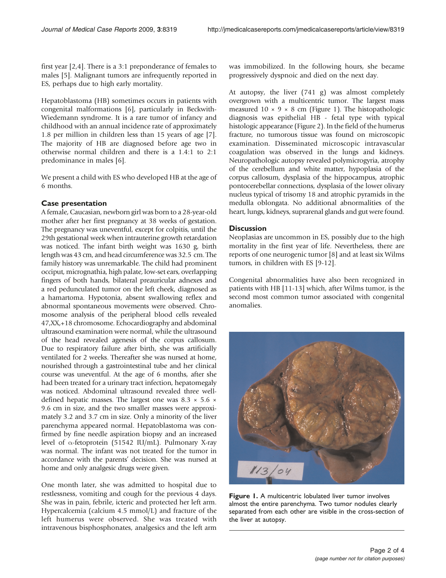first year [\[2,4\]](#page-2-0). There is a 3:1 preponderance of females to males [[5\]](#page-2-0). Malignant tumors are infrequently reported in ES, perhaps due to high early mortality.

Hepatoblastoma (HB) sometimes occurs in patients with congenital malformations [\[6\]](#page-2-0), particularly in Beckwith-Wiedemann syndrome. It is a rare tumor of infancy and childhood with an annual incidence rate of approximately 1.8 per million in children less than 15 years of age [[7\]](#page-2-0). The majority of HB are diagnosed before age two in otherwise normal children and there is a 1.4:1 to 2:1 predominance in males [[6](#page-2-0)].

We present a child with ES who developed HB at the age of 6 months.

# Case presentation

A female, Caucasian, newborn girl was born to a 28-year-old mother after her first pregnancy at 38 weeks of gestation. The pregnancy was uneventful, except for colpitis, until the 29th gestational week when intrauterine growth retardation was noticed. The infant birth weight was 1630 g, birth length was 43 cm, and head circumference was 32.5 cm. The family history was unremarkable. The child had prominent occiput, micrognathia, high palate, low-set ears, overlapping fingers of both hands, bilateral preauricular adnexes and a red pedunculated tumor on the left cheek, diagnosed as a hamartoma. Hypotonia, absent swallowing reflex and abnormal spontaneous movements were observed. Chromosome analysis of the peripheral blood cells revealed 47,XX,+18 chromosome. Echocardiography and abdominal ultrasound examination were normal, while the ultrasound of the head revealed agenesis of the corpus callosum. Due to respiratory failure after birth, she was artificially ventilated for 2 weeks. Thereafter she was nursed at home, nourished through a gastrointestinal tube and her clinical course was uneventful. At the age of 6 months, after she had been treated for a urinary tract infection, hepatomegaly was noticed. Abdominal ultrasound revealed three welldefined hepatic masses. The largest one was 8.3  $\times$  5.6  $\times$ 9.6 cm in size, and the two smaller masses were approximately 3.2 and 3.7 cm in size. Only a minority of the liver parenchyma appeared normal. Hepatoblastoma was confirmed by fine needle aspiration biopsy and an increased level of a-fetoprotein (51542 IU/mL). Pulmonary X-ray was normal. The infant was not treated for the tumor in accordance with the parents' decision. She was nursed at home and only analgesic drugs were given.

One month later, she was admitted to hospital due to restlessness, vomiting and cough for the previous 4 days. She was in pain, febrile, icteric and protected her left arm. Hypercalcemia (calcium 4.5 mmol/L) and fracture of the left humerus were observed. She was treated with intravenous bisphosphonates, analgesics and the left arm

was immobilized. In the following hours, she became progressively dyspnoic and died on the next day.

At autopsy, the liver (741 g) was almost completely overgrown with a multicentric tumor. The largest mass measured  $10 \times 9 \times 8$  cm (Figure 1). The histopathologic diagnosis was epithelial HB - fetal type with typical histologic appearance [\(Figure 2\)](#page-2-0). In the field of the humerus fracture, no tumorous tissue was found on microscopic examination. Disseminated microscopic intravascular coagulation was observed in the lungs and kidneys. Neuropathologic autopsy revealed polymicrogyria, atrophy of the cerebellum and white matter, hypoplasia of the corpus callosum, dysplasia of the hippocampus, atrophic pontocerebellar connections, dysplasia of the lower olivary nucleus typical of trisomy 18 and atrophic pyramids in the medulla oblongata. No additional abnormalities of the heart, lungs, kidneys, suprarenal glands and gut were found.

# **Discussion**

Neoplasias are uncommon in ES, possibly due to the high mortality in the first year of life. Nevertheless, there are reports of one neurogenic tumor [\[8\]](#page-2-0) and at least six Wilms tumors, in children with ES [[9-12\]](#page-3-0).

Congenital abnormalities have also been recognized in patients with HB [[11](#page-3-0)-[13](#page-3-0)] which, after Wilms tumor, is the second most common tumor associated with congenital anomalies.



Figure 1. A multicentric lobulated liver tumor involves almost the entire parenchyma. Two tumor nodules clearly separated from each other are visible in the cross-section of the liver at autopsy.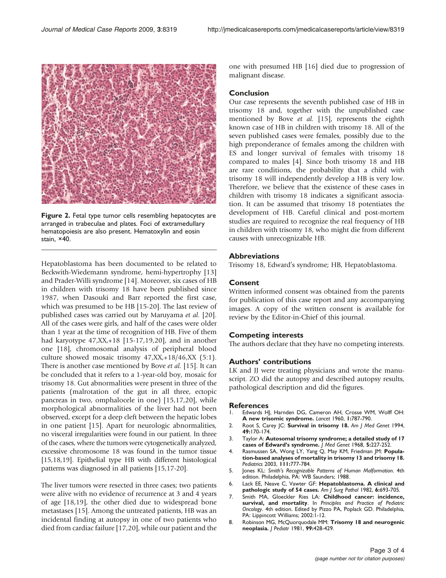<span id="page-2-0"></span>

Figure 2. Fetal type tumor cells resembling hepatocytes are arranged in trabeculae and plates. Foci of extramedullary hematopoiesis are also present. Hematoxylin and eosin stain, ×40.

Hepatoblastoma has been documented to be related to Beckwith-Wiedemann syndrome, hemi-hypertrophy [[13](#page-3-0)] and Prader-Willi syndrome [\[14\]](#page-3-0). Moreover, six cases of HB in children with trisomy 18 have been published since 1987, when Dasouki and Barr reported the first case, which was presumed to be HB [\[15-20\]](#page-3-0). The last review of published cases was carried out by Maruyama et al. [\[20\]](#page-3-0). All of the cases were girls, and half of the cases were older than 1 year at the time of recognition of HB. Five of them had karyotype 47,XX,+18 [\[15-17,19,20](#page-3-0)], and in another one [[18\]](#page-3-0), chromosomal analysis of peripheral blood culture showed mosaic trisomy 47,XX,+18/46,XX (5:1). There is another case mentioned by Bove et al. [\[15](#page-3-0)]. It can be concluded that it refers to a 1-year-old boy, mosaic for trisomy 18. Gut abnormalities were present in three of the patients (malrotation of the gut in all three, ectopic pancreas in two, omphalocele in one) [\[15,17,20](#page-3-0)], while morphological abnormalities of the liver had not been observed, except for a deep cleft between the hepatic lobes in one patient [[15](#page-3-0)]. Apart for neurologic abnormalities, no visceral irregularities were found in our patient. In three of the cases, where the tumors were cytogenetically analyzed, excessive chromosome 18 was found in the tumor tissue [\[15](#page-3-0),[18,19\]](#page-3-0). Epithelial type HB with different histological patterns was diagnosed in all patients [\[15](#page-3-0),[17-20\]](#page-3-0).

The liver tumors were resected in three cases; two patients were alive with no evidence of recurrence at 3 and 4 years of age [\[18,19\]](#page-3-0), the other died due to widespread bone metastases [\[15](#page-3-0)]. Among the untreated patients, HB was an incidental finding at autopsy in one of two patients who died from cardiac failure [[17](#page-3-0),[20](#page-3-0)], while our patient and the

one with presumed HB [[16](#page-3-0)] died due to progression of malignant disease.

#### Conclusion

Our case represents the seventh published case of HB in trisomy 18 and, together with the unpublished case mentioned by Bove et al. [\[15\]](#page-3-0), represents the eighth known case of HB in children with trisomy 18. All of the seven published cases were females, possibly due to the high preponderance of females among the children with ES and longer survival of females with trisomy 18 compared to males [4]. Since both trisomy 18 and HB are rare conditions, the probability that a child with trisomy 18 will independently develop a HB is very low. Therefore, we believe that the existence of these cases in children with trisomy 18 indicates a significant association. It can be assumed that trisomy 18 potentiates the development of HB. Careful clinical and post-mortem studies are required to recognize the real frequency of HB in children with trisomy 18, who might die from different causes with unrecognizable HB.

#### Abbreviations

Trisomy 18, Edward's syndrome; HB, Hepatoblastoma.

#### Consent

Written informed consent was obtained from the parents for publication of this case report and any accompanying images. A copy of the written consent is available for review by the Editor-in-Chief of this journal.

#### Competing interests

The authors declare that they have no competing interests.

#### Authors' contributions

LK and JJ were treating physicians and wrote the manuscript. ZO did the autopsy and described autopsy results, pathological description and did the figures.

#### References

- Edwards HJ, Harnden DG, Cameron AH, Crosse WM, Wolff OH: A new trisomic syndrome. Lancet 1960, 1:787-790.
- 2. Root S, Carey JC: Survival in trisomy 18. Am J Med Genet 1994, 49:170-174.
- 3. Taylor A: Autosomal trisomy syndrome; a detailed study of 17 cases of Edward's syndrome. J Med Genet 1968, 5:227-252.
- 4. Rasmussen SA, Wong LY, Yang Q, May KM, Friedman JM: Population-based analyses of mortality in trisomy 13 and trisomy 18. Pediatrics 2003, 111:777-784.
- 5. Jones KL: Smith's Recognizable Patterns of Human Malformation. 4th edition. Philadelphia, PA: WB Saunders; 1988.
- 6. Lack EE, Neave C, Vawter GF: Hepatoblastoma. A clinical and pathologic study of 54 cases. Am J Surg Pathol 1982, 6:693-705.
- 7. Smith MA, Gloeckler Ries LA: Childhood cancer: incidence, survival, and mortality. In Principles and Practice of Pediatric Oncology. 4th edition. Edited by Pizzo PA, Poplack GD. Philadelphia, PA: Lippincott Williams; 2002:1-12.
- 8. Robinson MG, McQuorquodale MM: Trisomy 18 and neurogenic neoplasia. J Pediatr 1981, 99:428-429.